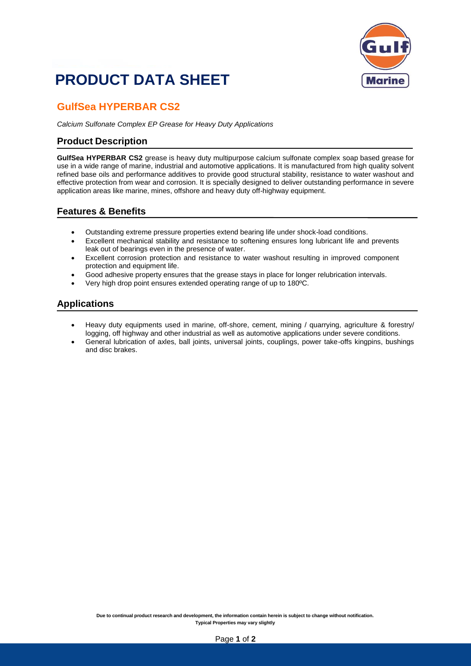# **PRODUCT DATA SHEET**



### **GulfSea HYPERBAR CS2**

*Calcium Sulfonate Complex EP Grease for Heavy Duty Applications*

#### **Product Description**

**GulfSea HYPERBAR CS2** grease is heavy duty multipurpose calcium sulfonate complex soap based grease for use in a wide range of marine, industrial and automotive applications. It is manufactured from high quality solvent refined base oils and performance additives to provide good structural stability, resistance to water washout and effective protection from wear and corrosion. It is specially designed to deliver outstanding performance in severe application areas like marine, mines, offshore and heavy duty off-highway equipment.

#### **Features & Benefits**

- Outstanding extreme pressure properties extend bearing life under shock-load conditions.
- Excellent mechanical stability and resistance to softening ensures long lubricant life and prevents leak out of bearings even in the presence of water.
- Excellent corrosion protection and resistance to water washout resulting in improved component protection and equipment life.
- Good adhesive property ensures that the grease stays in place for longer relubrication intervals.
- Very high drop point ensures extended operating range of up to 180ºC.

#### **Applications**

- Heavy duty equipments used in marine, off-shore, cement, mining / quarrying, agriculture & forestry/ logging, off highway and other industrial as well as automotive applications under severe conditions.
- General lubrication of axles, ball joints, universal joints, couplings, power take-offs kingpins, bushings and disc brakes.